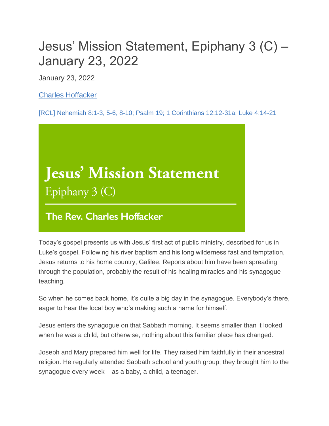## Jesus' Mission Statement, Epiphany 3 (C) – January 23, 2022

January 23, 2022

[Charles Hoffacker](https://www.episcopalchurch.org/authors/the-rev-charles-hoffacker/)

[\[RCL\] Nehemiah 8:1-3, 5-6, 8-10; Psalm 19; 1 Corinthians 12:12-31a; Luke 4:14-21](https://www.episcopalchurch.org/lectionary/epiphany-3c/)

## **Jesus' Mission Statement** Epiphany 3 (C)

## **The Rev. Charles Hoffacker**

Today's gospel presents us with Jesus' first act of public ministry, described for us in Luke's gospel. Following his river baptism and his long wilderness fast and temptation, Jesus returns to his home country, Galilee. Reports about him have been spreading through the population, probably the result of his healing miracles and his synagogue teaching.

So when he comes back home, it's quite a big day in the synagogue. Everybody's there, eager to hear the local boy who's making such a name for himself.

Jesus enters the synagogue on that Sabbath morning. It seems smaller than it looked when he was a child, but otherwise, nothing about this familiar place has changed.

Joseph and Mary prepared him well for life. They raised him faithfully in their ancestral religion. He regularly attended Sabbath school and youth group; they brought him to the synagogue every week – as a baby, a child, a teenager.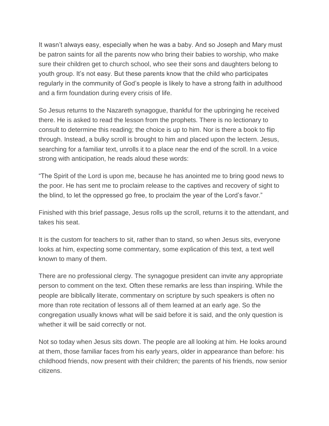It wasn't always easy, especially when he was a baby. And so Joseph and Mary must be patron saints for all the parents now who bring their babies to worship, who make sure their children get to church school, who see their sons and daughters belong to youth group. It's not easy. But these parents know that the child who participates regularly in the community of God's people is likely to have a strong faith in adulthood and a firm foundation during every crisis of life.

So Jesus returns to the Nazareth synagogue, thankful for the upbringing he received there. He is asked to read the lesson from the prophets. There is no lectionary to consult to determine this reading; the choice is up to him. Nor is there a book to flip through. Instead, a bulky scroll is brought to him and placed upon the lectern. Jesus, searching for a familiar text, unrolls it to a place near the end of the scroll. In a voice strong with anticipation, he reads aloud these words:

"The Spirit of the Lord is upon me, because he has anointed me to bring good news to the poor. He has sent me to proclaim release to the captives and recovery of sight to the blind, to let the oppressed go free, to proclaim the year of the Lord's favor."

Finished with this brief passage, Jesus rolls up the scroll, returns it to the attendant, and takes his seat.

It is the custom for teachers to sit, rather than to stand, so when Jesus sits, everyone looks at him, expecting some commentary, some explication of this text, a text well known to many of them.

There are no professional clergy. The synagogue president can invite any appropriate person to comment on the text. Often these remarks are less than inspiring. While the people are biblically literate, commentary on scripture by such speakers is often no more than rote recitation of lessons all of them learned at an early age. So the congregation usually knows what will be said before it is said, and the only question is whether it will be said correctly or not.

Not so today when Jesus sits down. The people are all looking at him. He looks around at them, those familiar faces from his early years, older in appearance than before: his childhood friends, now present with their children; the parents of his friends, now senior citizens.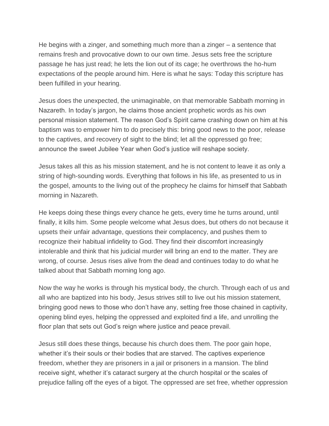He begins with a zinger, and something much more than a zinger – a sentence that remains fresh and provocative down to our own time. Jesus sets free the scripture passage he has just read; he lets the lion out of its cage; he overthrows the ho-hum expectations of the people around him. Here is what he says: Today this scripture has been fulfilled in your hearing.

Jesus does the unexpected, the unimaginable, on that memorable Sabbath morning in Nazareth. In today's jargon, he claims those ancient prophetic words as his own personal mission statement. The reason God's Spirit came crashing down on him at his baptism was to empower him to do precisely this: bring good news to the poor, release to the captives, and recovery of sight to the blind; let all the oppressed go free; announce the sweet Jubilee Year when God's justice will reshape society.

Jesus takes all this as his mission statement, and he is not content to leave it as only a string of high-sounding words. Everything that follows in his life, as presented to us in the gospel, amounts to the living out of the prophecy he claims for himself that Sabbath morning in Nazareth.

He keeps doing these things every chance he gets, every time he turns around, until finally, it kills him. Some people welcome what Jesus does, but others do not because it upsets their unfair advantage, questions their complacency, and pushes them to recognize their habitual infidelity to God. They find their discomfort increasingly intolerable and think that his judicial murder will bring an end to the matter. They are wrong, of course. Jesus rises alive from the dead and continues today to do what he talked about that Sabbath morning long ago.

Now the way he works is through his mystical body, the church. Through each of us and all who are baptized into his body, Jesus strives still to live out his mission statement, bringing good news to those who don't have any, setting free those chained in captivity, opening blind eyes, helping the oppressed and exploited find a life, and unrolling the floor plan that sets out God's reign where justice and peace prevail.

Jesus still does these things, because his church does them. The poor gain hope, whether it's their souls or their bodies that are starved. The captives experience freedom, whether they are prisoners in a jail or prisoners in a mansion. The blind receive sight, whether it's cataract surgery at the church hospital or the scales of prejudice falling off the eyes of a bigot. The oppressed are set free, whether oppression